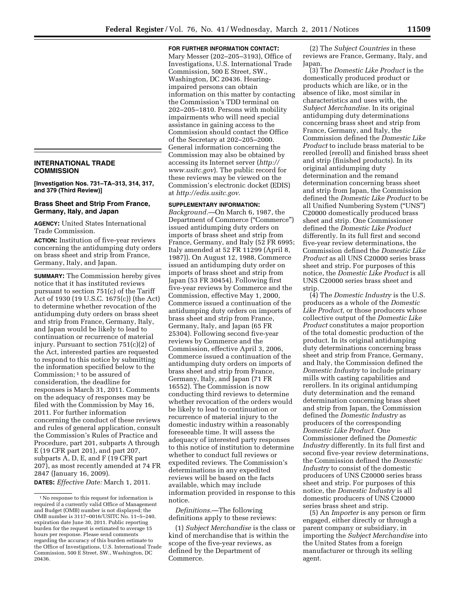## **INTERNATIONAL TRADE COMMISSION**

**[Investigation Nos. 731–TA–313, 314, 317, and 379 (Third Review)]** 

## **Brass Sheet and Strip From France, Germany, Italy, and Japan**

**AGENCY:** United States International Trade Commission.

**ACTION:** Institution of five-year reviews concerning the antidumping duty orders on brass sheet and strip from France, Germany, Italy, and Japan.

**SUMMARY:** The Commission hereby gives notice that it has instituted reviews pursuant to section 751(c) of the Tariff Act of 1930 (19 U.S.C. 1675(c)) (the Act) to determine whether revocation of the antidumping duty orders on brass sheet and strip from France, Germany, Italy, and Japan would be likely to lead to continuation or recurrence of material injury. Pursuant to section 751(c)(2) of the Act, interested parties are requested to respond to this notice by submitting the information specified below to the Commission; 1 to be assured of consideration, the deadline for responses is March 31, 2011. Comments on the adequacy of responses may be filed with the Commission by May 16, 2011. For further information concerning the conduct of these reviews and rules of general application, consult the Commission's Rules of Practice and Procedure, part 201, subparts A through E (19 CFR part 201), and part 207, subparts A, D, E, and F (19 CFR part 207), as most recently amended at 74 FR 2847 (January 16, 2009).

**DATES:** *Effective Date:* March 1, 2011.

**FOR FURTHER INFORMATION CONTACT:** 

Mary Messer (202–205–3193), Office of Investigations, U.S. International Trade Commission, 500 E Street, SW., Washington, DC 20436. Hearingimpaired persons can obtain information on this matter by contacting the Commission's TDD terminal on 202–205–1810. Persons with mobility impairments who will need special assistance in gaining access to the Commission should contact the Office of the Secretary at 202–205–2000. General information concerning the Commission may also be obtained by accessing its Internet server (*[http://](http://www.usitc.gov)  [www.usitc.gov](http://www.usitc.gov)*). The public record for these reviews may be viewed on the Commission's electronic docket (EDIS) at *<http://edis.usitc.gov>*.

## **SUPPLEMENTARY INFORMATION:**

*Background.*—On March 6, 1987, the Department of Commerce (''Commerce'') issued antidumping duty orders on imports of brass sheet and strip from France, Germany, and Italy (52 FR 6995; Italy amended at 52 FR 11299 (April 8, 1987)). On August 12, 1988, Commerce issued an antidumping duty order on imports of brass sheet and strip from Japan (53 FR 30454). Following first five-year reviews by Commerce and the Commission, effective May 1, 2000, Commerce issued a continuation of the antidumping duty orders on imports of brass sheet and strip from France, Germany, Italy, and Japan (65 FR 25304). Following second five-year reviews by Commerce and the Commission, effective April 3, 2006, Commerce issued a continuation of the antidumping duty orders on imports of brass sheet and strip from France, Germany, Italy, and Japan (71 FR 16552). The Commission is now conducting third reviews to determine whether revocation of the orders would be likely to lead to continuation or recurrence of material injury to the domestic industry within a reasonably foreseeable time. It will assess the adequacy of interested party responses to this notice of institution to determine whether to conduct full reviews or expedited reviews. The Commission's determinations in any expedited reviews will be based on the facts available, which may include information provided in response to this notice.

*Definitions.*—The following definitions apply to these reviews:

(1) *Subject Merchandise* is the class or kind of merchandise that is within the scope of the five-year reviews, as defined by the Department of Commerce.

(2) The *Subject Countries* in these reviews are France, Germany, Italy, and Japan.

(3) The *Domestic Like Product* is the domestically produced product or products which are like, or in the absence of like, most similar in characteristics and uses with, the *Subject Merchandise.* In its original antidumping duty determinations concerning brass sheet and strip from France, Germany, and Italy, the Commission defined the *Domestic Like Product* to include brass material to be rerolled (reroll) and finished brass sheet and strip (finished products). In its original antidumping duty determination and the remand determination concerning brass sheet and strip from Japan, the Commission defined the *Domestic Like Product* to be all Unified Numbering System (''UNS'') C20000 domestically produced brass sheet and strip. One Commissioner defined the *Domestic Like Product*  differently. In its full first and second five-year review determinations, the Commission defined the *Domestic Like Product* as all UNS C20000 series brass sheet and strip. For purposes of this notice, the *Domestic Like Product* is all UNS C20000 series brass sheet and strip.

(4) The *Domestic Industry* is the U.S. producers as a whole of the *Domestic Like Product,* or those producers whose collective output of the *Domestic Like Product* constitutes a major proportion of the total domestic production of the product. In its original antidumping duty determinations concerning brass sheet and strip from France, Germany, and Italy, the Commission defined the *Domestic Industry* to include primary mills with casting capabilities and rerollers. In its original antidumping duty determination and the remand determination concerning brass sheet and strip from Japan, the Commission defined the *Domestic Industry* as producers of the corresponding *Domestic Like Product.* One Commissioner defined the *Domestic Industry* differently. In its full first and second five-year review determinations, the Commission defined the *Domestic Industry* to consist of the domestic producers of UNS C20000 series brass sheet and strip. For purposes of this notice, the *Domestic Industry* is all domestic producers of UNS C20000 series brass sheet and strip.

(5) An *Importer* is any person or firm engaged, either directly or through a parent company or subsidiary, in importing the *Subject Merchandise* into the United States from a foreign manufacturer or through its selling agent.

<sup>1</sup>No response to this request for information is required if a currently valid Office of Management and Budget (OMB) number is not displayed; the OMB number is 3117–0016/USITC No. 11–5–240, expiration date June 30, 2011. Public reporting burden for the request is estimated to average 15 hours per response. Please send comments regarding the accuracy of this burden estimate to the Office of Investigations, U.S. International Trade Commission, 500 E Street, SW., Washington, DC 20436.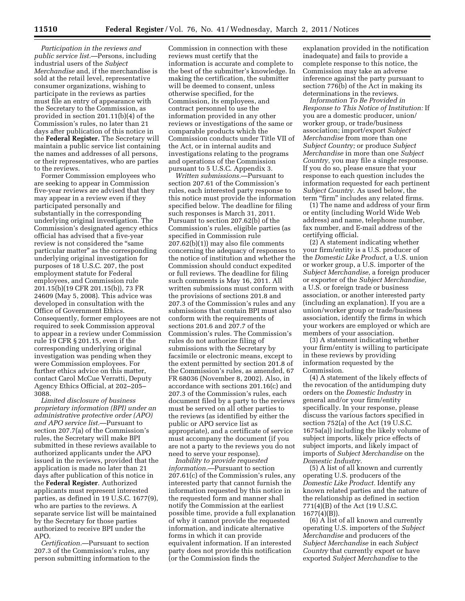*Participation in the reviews and public service list.*—Persons, including industrial users of the *Subject Merchandise* and, if the merchandise is sold at the retail level, representative consumer organizations, wishing to participate in the reviews as parties must file an entry of appearance with the Secretary to the Commission, as provided in section 201.11(b)(4) of the Commission's rules, no later than 21 days after publication of this notice in the **Federal Register.** The Secretary will maintain a public service list containing the names and addresses of all persons, or their representatives, who are parties to the reviews.

Former Commission employees who are seeking to appear in Commission five-year reviews are advised that they may appear in a review even if they participated personally and substantially in the corresponding underlying original investigation. The Commission's designated agency ethics official has advised that a five-year review is not considered the ''same particular matter'' as the corresponding underlying original investigation for purposes of 18 U.S.C. 207, the post employment statute for Federal employees, and Commission rule 201.15(b)(19 CFR 201.15(b)), 73 FR 24609 (May 5, 2008). This advice was developed in consultation with the Office of Government Ethics. Consequently, former employees are not required to seek Commission approval to appear in a review under Commission rule 19 CFR § 201.15, even if the corresponding underlying original investigation was pending when they were Commission employees. For further ethics advice on this matter, contact Carol McCue Verratti, Deputy Agency Ethics Official, at 202–205– 3088.

*Limited disclosure of business proprietary information (BPI) under an administrative protective order (APO) and APO service list.*—Pursuant to section 207.7(a) of the Commission's rules, the Secretary will make BPI submitted in these reviews available to authorized applicants under the APO issued in the reviews, provided that the application is made no later than 21 days after publication of this notice in the **Federal Register**. Authorized applicants must represent interested parties, as defined in 19 U.S.C. 1677(9), who are parties to the reviews. A separate service list will be maintained by the Secretary for those parties authorized to receive BPI under the APO.

*Certification.*—Pursuant to section 207.3 of the Commission's rules, any person submitting information to the

Commission in connection with these reviews must certify that the information is accurate and complete to the best of the submitter's knowledge. In making the certification, the submitter will be deemed to consent, unless otherwise specified, for the Commission, its employees, and contract personnel to use the information provided in any other reviews or investigations of the same or comparable products which the Commission conducts under Title VII of the Act, or in internal audits and investigations relating to the programs and operations of the Commission pursuant to 5 U.S.C. Appendix 3.

*Written submissions.*—Pursuant to section 207.61 of the Commission's rules, each interested party response to this notice must provide the information specified below. The deadline for filing such responses is March 31, 2011. Pursuant to section 207.62(b) of the Commission's rules, eligible parties (as specified in Commission rule 207.62(b)(1)) may also file comments concerning the adequacy of responses to the notice of institution and whether the Commission should conduct expedited or full reviews. The deadline for filing such comments is May 16, 2011. All written submissions must conform with the provisions of sections 201.8 and 207.3 of the Commission's rules and any submissions that contain BPI must also conform with the requirements of sections 201.6 and 207.7 of the Commission's rules. The Commission's rules do not authorize filing of submissions with the Secretary by facsimile or electronic means, except to the extent permitted by section 201.8 of the Commission's rules, as amended, 67 FR 68036 (November 8, 2002). Also, in accordance with sections 201.16(c) and 207.3 of the Commission's rules, each document filed by a party to the reviews must be served on all other parties to the reviews (as identified by either the public or APO service list as appropriate), and a certificate of service must accompany the document (if you are not a party to the reviews you do not need to serve your response).

*Inability to provide requested information.*—Pursuant to section 207.61(c) of the Commission's rules, any interested party that cannot furnish the information requested by this notice in the requested form and manner shall notify the Commission at the earliest possible time, provide a full explanation of why it cannot provide the requested information, and indicate alternative forms in which it can provide equivalent information. If an interested party does not provide this notification (or the Commission finds the

explanation provided in the notification inadequate) and fails to provide a complete response to this notice, the Commission may take an adverse inference against the party pursuant to section 776(b) of the Act in making its determinations in the reviews.

*Information To Be Provided in Response to This Notice of Institution:* If you are a domestic producer, union/ worker group, or trade/business association; import/export *Subject Merchandise* from more than one *Subject Country;* or produce *Subject Merchandise* in more than one *Subject Country,* you may file a single response. If you do so, please ensure that your response to each question includes the information requested for each pertinent *Subject Country.* As used below, the term "firm" includes any related firms.

(1) The name and address of your firm or entity (including World Wide Web address) and name, telephone number, fax number, and E-mail address of the certifying official.

(2) A statement indicating whether your firm/entity is a U.S. producer of the *Domestic Like Product,* a U.S. union or worker group, a U.S. importer of the *Subject Merchandise,* a foreign producer or exporter of the *Subject Merchandise,*  a U.S. or foreign trade or business association, or another interested party (including an explanation). If you are a union/worker group or trade/business association, identify the firms in which your workers are employed or which are members of your association.

(3) A statement indicating whether your firm/entity is willing to participate in these reviews by providing information requested by the Commission.

(4) A statement of the likely effects of the revocation of the antidumping duty orders on the *Domestic Industry* in general and/or your firm/entity specifically. In your response, please discuss the various factors specified in section 752(a) of the Act (19 U.S.C. 1675a(a)) including the likely volume of subject imports, likely price effects of subject imports, and likely impact of imports of *Subject Merchandise* on the *Domestic Industry.* 

(5) A list of all known and currently operating U.S. producers of the *Domestic Like Product.* Identify any known related parties and the nature of the relationship as defined in section 771(4)(B) of the Act (19 U.S.C.  $1677(4)(B)$ ).

(6) A list of all known and currently operating U.S. importers of the *Subject Merchandise* and producers of the *Subject Merchandise* in each *Subject Country* that currently export or have exported *Subject Merchandise* to the